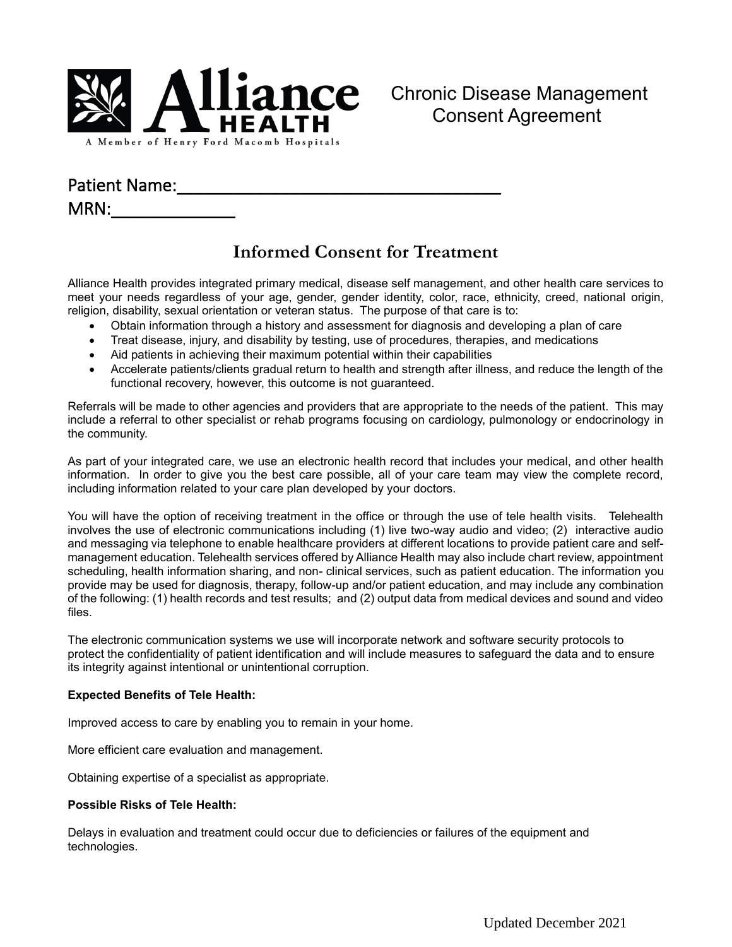

## Patient Name:

 $MRN:$ 

# **Informed Consent for Treatment**

Alliance Health provides integrated primary medical, disease self management, and other health care services to meet your needs regardless of your age, gender, gender identity, color, race, ethnicity, creed, national origin, religion, disability, sexual orientation or veteran status. The purpose of that care is to:

- Obtain information through a history and assessment for diagnosis and developing a plan of care
- Treat disease, injury, and disability by testing, use of procedures, therapies, and medications
- Aid patients in achieving their maximum potential within their capabilities
- Accelerate patients/clients gradual return to health and strength after illness, and reduce the length of the functional recovery, however, this outcome is not guaranteed.

Referrals will be made to other agencies and providers that are appropriate to the needs of the patient. This may include a referral to other specialist or rehab programs focusing on cardiology, pulmonology or endocrinology in the community.

As part of your integrated care, we use an electronic health record that includes your medical, and other health information. In order to give you the best care possible, all of your care team may view the complete record, including information related to your care plan developed by your doctors.

You will have the option of receiving treatment in the office or through the use of tele health visits. Telehealth involves the use of electronic communications including (1) live two-way audio and video; (2) interactive audio and messaging via telephone to enable healthcare providers at different locations to provide patient care and selfmanagement education. Telehealth services offered by Alliance Health may also include chart review, appointment scheduling, health information sharing, and non- clinical services, such as patient education. The information you provide may be used for diagnosis, therapy, follow-up and/or patient education, and may include any combination of the following: (1) health records and test results; and (2) output data from medical devices and sound and video files.

The electronic communication systems we use will incorporate network and software security protocols to protect the confidentiality of patient identification and will include measures to safeguard the data and to ensure its integrity against intentional or unintentional corruption.

#### **Expected Benefits of Tele Health:**

Improved access to care by enabling you to remain in your home.

More efficient care evaluation and management.

Obtaining expertise of a specialist as appropriate.

#### **Possible Risks of Tele Health:**

Delays in evaluation and treatment could occur due to deficiencies or failures of the equipment and technologies.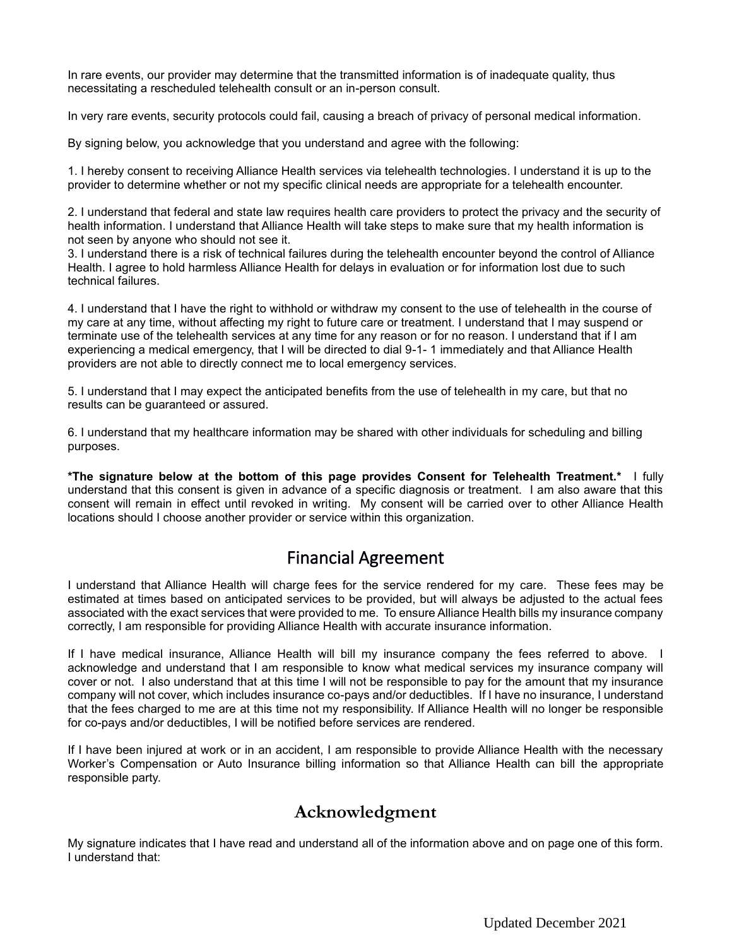In rare events, our provider may determine that the transmitted information is of inadequate quality, thus necessitating a rescheduled telehealth consult or an in-person consult.

In very rare events, security protocols could fail, causing a breach of privacy of personal medical information.

By signing below, you acknowledge that you understand and agree with the following:

1. I hereby consent to receiving Alliance Health services via telehealth technologies. I understand it is up to the provider to determine whether or not my specific clinical needs are appropriate for a telehealth encounter.

2. I understand that federal and state law requires health care providers to protect the privacy and the security of health information. I understand that Alliance Health will take steps to make sure that my health information is not seen by anyone who should not see it.

3. I understand there is a risk of technical failures during the telehealth encounter beyond the control of Alliance Health. I agree to hold harmless Alliance Health for delays in evaluation or for information lost due to such technical failures.

4. I understand that I have the right to withhold or withdraw my consent to the use of telehealth in the course of my care at any time, without affecting my right to future care or treatment. I understand that I may suspend or terminate use of the telehealth services at any time for any reason or for no reason. I understand that if I am experiencing a medical emergency, that I will be directed to dial 9-1- 1 immediately and that Alliance Health providers are not able to directly connect me to local emergency services.

5. I understand that I may expect the anticipated benefits from the use of telehealth in my care, but that no results can be guaranteed or assured.

6. I understand that my healthcare information may be shared with other individuals for scheduling and billing purposes.

**\*The signature below at the bottom of this page provides Consent for Telehealth Treatment.\*** I fully understand that this consent is given in advance of a specific diagnosis or treatment. I am also aware that this consent will remain in effect until revoked in writing. My consent will be carried over to other Alliance Health locations should I choose another provider or service within this organization.

# Financial Agreement

I understand that Alliance Health will charge fees for the service rendered for my care. These fees may be estimated at times based on anticipated services to be provided, but will always be adjusted to the actual fees associated with the exact services that were provided to me. To ensure Alliance Health bills my insurance company correctly, I am responsible for providing Alliance Health with accurate insurance information.

If I have medical insurance, Alliance Health will bill my insurance company the fees referred to above. I acknowledge and understand that I am responsible to know what medical services my insurance company will cover or not. I also understand that at this time I will not be responsible to pay for the amount that my insurance company will not cover, which includes insurance co-pays and/or deductibles. If I have no insurance, I understand that the fees charged to me are at this time not my responsibility. If Alliance Health will no longer be responsible for co-pays and/or deductibles, I will be notified before services are rendered.

If I have been injured at work or in an accident, I am responsible to provide Alliance Health with the necessary Worker's Compensation or Auto Insurance billing information so that Alliance Health can bill the appropriate responsible party.

## **Acknowledgment**

My signature indicates that I have read and understand all of the information above and on page one of this form. I understand that: